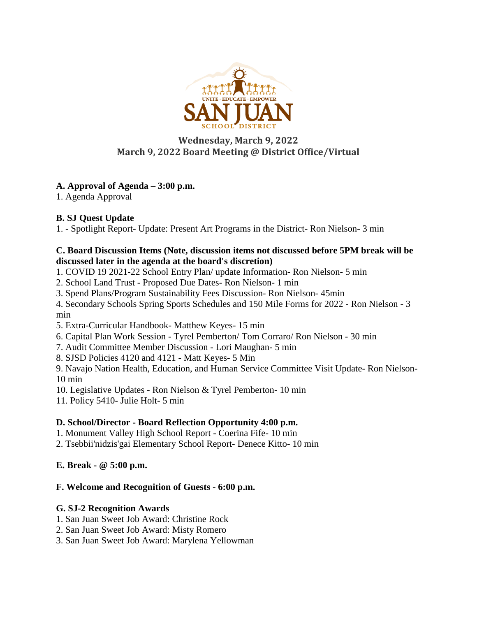

# **Wednesday, March 9, 2022 March 9, 2022 Board Meeting @ District Office/Virtual**

# **A. Approval of Agenda – 3:00 p.m.**

1. Agenda Approval

## **B. SJ Quest Update**

1. - Spotlight Report- Update: Present Art Programs in the District- Ron Nielson- 3 min

## **C. Board Discussion Items (Note, discussion items not discussed before 5PM break will be discussed later in the agenda at the board's discretion)**

1. COVID 19 2021-22 School Entry Plan/ update Information- Ron Nielson- 5 min

2. School Land Trust - Proposed Due Dates- Ron Nielson- 1 min

3. Spend Plans/Program Sustainability Fees Discussion- Ron Nielson- 45min

4. Secondary Schools Spring Sports Schedules and 150 Mile Forms for 2022 - Ron Nielson - 3 min

5. Extra-Curricular Handbook- Matthew Keyes- 15 min

6. Capital Plan Work Session - Tyrel Pemberton/ Tom Corraro/ Ron Nielson - 30 min

7. Audit Committee Member Discussion - Lori Maughan- 5 min

8. SJSD Policies 4120 and 4121 - Matt Keyes- 5 Min

9. Navajo Nation Health, Education, and Human Service Committee Visit Update- Ron Nielson-10 min

10. Legislative Updates - Ron Nielson & Tyrel Pemberton- 10 min

11. Policy 5410- Julie Holt- 5 min

## **D. School/Director - Board Reflection Opportunity 4:00 p.m.**

1. Monument Valley High School Report - Coerina Fife- 10 min

2. Tsebbii'nidzis'gai Elementary School Report- Denece Kitto- 10 min

## **E. Break - @ 5:00 p.m.**

## **F. Welcome and Recognition of Guests - 6:00 p.m.**

## **G. SJ-2 Recognition Awards**

- 1. San Juan Sweet Job Award: Christine Rock
- 2. San Juan Sweet Job Award: Misty Romero
- 3. San Juan Sweet Job Award: Marylena Yellowman